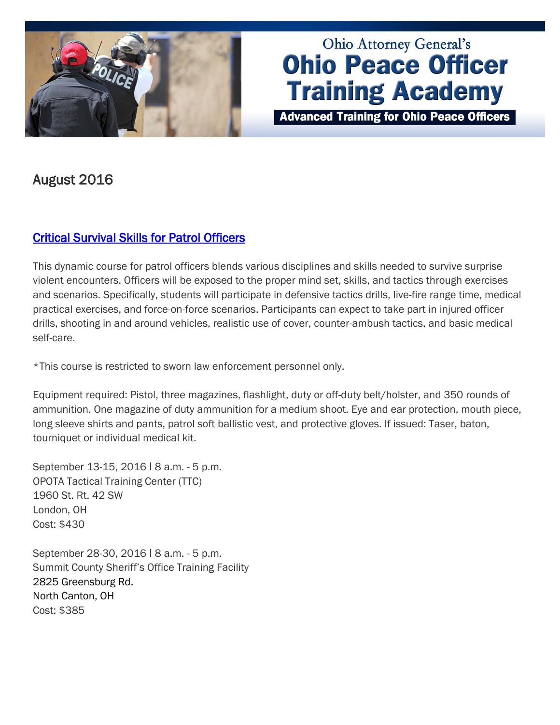

# **Ohio Attorney General's Ohio Peace Officer Training Academy**

**Advanced Training for Ohio Peace Officers** 

# August 2016

## [Critical Survival Skills for Patrol Officers](http://www.ohioattorneygeneral.gov/Law-Enforcement/Ohio-Peace-Officer-Training-Academy/Course-Catalog/Course-Categories/Patrol-Courses/Critical-Survival-Skills-for-Patrol-Officers)

This dynamic course for patrol officers blends various disciplines and skills needed to survive surprise violent encounters. Officers will be exposed to the proper mind set, skills, and tactics through exercises and scenarios. Specifically, students will participate in defensive tactics drills, live-fire range time, medical practical exercises, and force-on-force scenarios. Participants can expect to take part in injured officer drills, shooting in and around vehicles, realistic use of cover, counter-ambush tactics, and basic medical self-care.

\*This course is restricted to sworn law enforcement personnel only.

Equipment required: Pistol, three magazines, flashlight, duty or off-duty belt/holster, and 350 rounds of ammunition. One magazine of duty ammunition for a medium shoot. Eye and ear protection, mouth piece, long sleeve shirts and pants, patrol soft ballistic vest, and protective gloves. If issued: Taser, baton, tourniquet or individual medical kit.

September 13-15, 2016 | 8 a.m. - 5 p.m. OPOTA Tactical Training Center (TTC) 1960 St. Rt. 42 SW London, OH Cost: \$430

September 28-30, 2016 ǀ 8 a.m. - 5 p.m. Summit County Sheriff's Office Training Facility 2825 Greensburg Rd. North Canton, OH Cost: \$385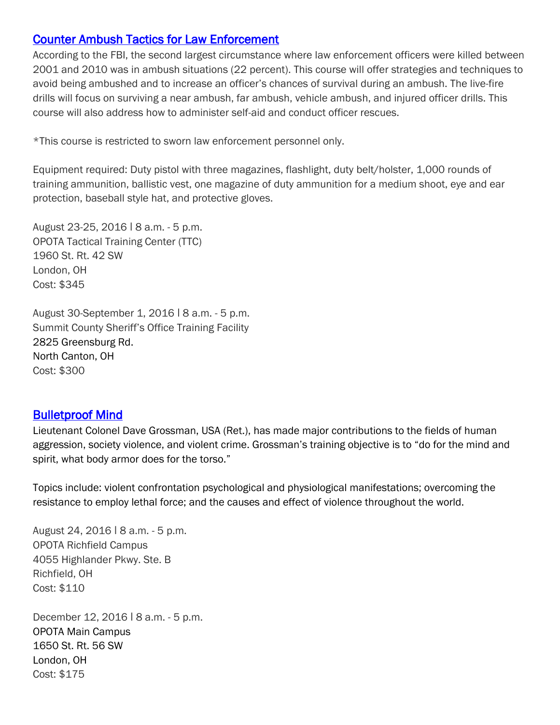#### [Counter Ambush Tactics for Law Enforcement](http://www.ohioattorneygeneral.gov/Law-Enforcement/Ohio-Peace-Officer-Training-Academy/Course-Catalog/Course-Categories/Firearms-Courses/Counter-Ambush-Tactics-for-Law-Enforcement)

According to the FBI, the second largest circumstance where law enforcement officers were killed between 2001 and 2010 was in ambush situations (22 percent). This course will offer strategies and techniques to avoid being ambushed and to increase an officer's chances of survival during an ambush. The live-fire drills will focus on surviving a near ambush, far ambush, vehicle ambush, and injured officer drills. This course will also address how to administer self-aid and conduct officer rescues.

\*This course is restricted to sworn law enforcement personnel only.

Equipment required: Duty pistol with three magazines, flashlight, duty belt/holster, 1,000 rounds of training ammunition, ballistic vest, one magazine of duty ammunition for a medium shoot, eye and ear protection, baseball style hat, and protective gloves.

August 23-25, 2016 ǀ 8 a.m. - 5 p.m. OPOTA Tactical Training Center (TTC) 1960 St. Rt. 42 SW London, OH Cost: \$345

August 30-September 1, 2016 ǀ 8 a.m. - 5 p.m. Summit County Sheriff's Office Training Facility 2825 Greensburg Rd. North Canton, OH Cost: \$300

### [Bulletproof Mind](http://www.ohioattorneygeneral.gov/Law-Enforcement/Ohio-Peace-Officer-Training-Academy/Course-Catalog/Course-Categories/Fitness-Wellness-Courses/Bulletproof-Mind)

Lieutenant Colonel Dave Grossman, USA (Ret.), has made major contributions to the fields of human aggression, society violence, and violent crime. Grossman's training objective is to "do for the mind and spirit, what body armor does for the torso."

Topics include: violent confrontation psychological and physiological manifestations; overcoming the resistance to employ lethal force; and the causes and effect of violence throughout the world.

August 24, 2016 ǀ 8 a.m. - 5 p.m. OPOTA Richfield Campus 4055 Highlander Pkwy. Ste. B Richfield, OH Cost: \$110

December 12, 2016 ǀ 8 a.m. - 5 p.m. OPOTA Main Campus 1650 St. Rt. 56 SW London, OH Cost: \$175